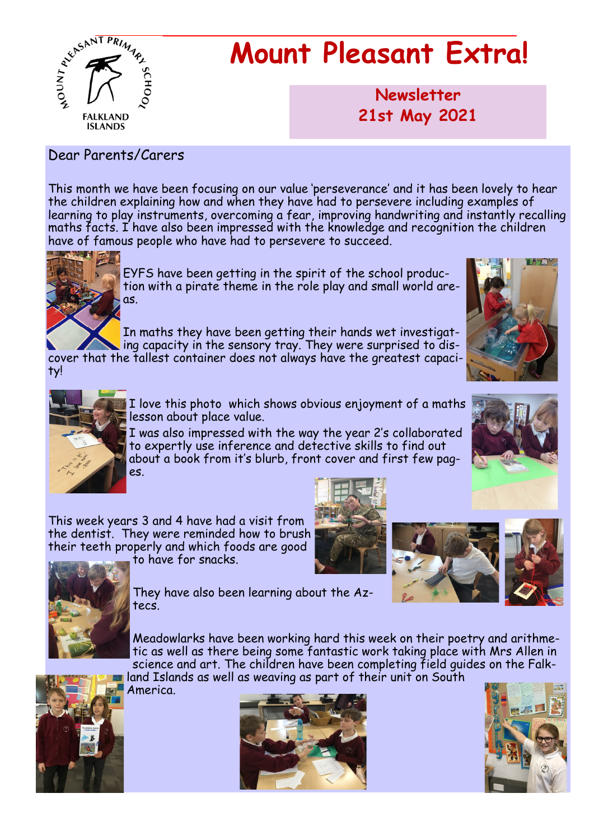

## **Mount Pleasant Extra!**

**Newsletter now 21st May 2021**

#### Dear Parents/Carers

This month we have been focusing on our value 'perseverance' and it has been lovely to hear the children explaining how and when they have had to persevere including examples of learning to play instruments, overcoming a fear, improving handwriting and instantly recalling maths facts. I have also been impressed with the knowledge and recognition the children have of famous people who have had to persevere to succeed.



EYFS have been getting in the spirit of the school production with a pirate theme in the role play and small world areas.

In maths they have been getting their hands wet investigating capacity in the sensory tray. They were surprised to dis-

cover that the tallest container does not always have the greatest capacity!





I love this photo which shows obvious enjoyment of a maths lesson about place value.

I was also impressed with the way the year 2's collaborated to expertly use inference and detective skills to find out about a book from it's blurb, front cover and first few pages.



This week years 3 and 4 have had a visit from the dentist. They were reminded how to brush their teeth properly and which foods are good to have for snacks.







They have also been learning about the Aztecs.

Meadowlarks have been working hard this week on their poetry and arithmetic as well as there being some fantastic work taking place with Mrs Allen in science and art. The children have been completing field guides on the Falkland Islands as well as weaving as part of their unit on South



America.